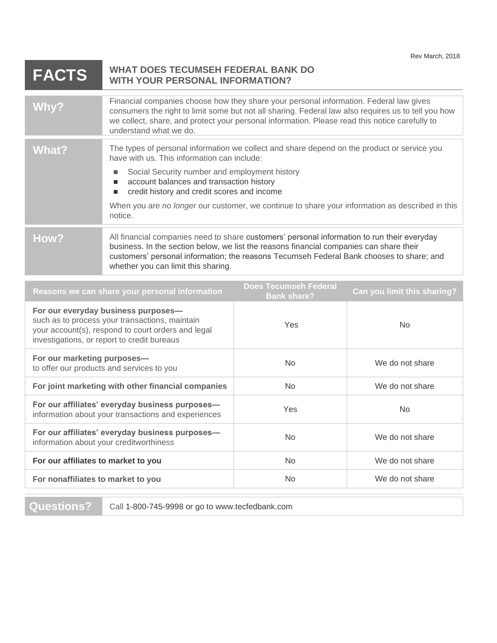## **FACTS WHAT DOES TECUMSEH FEDERAL BANK DO WITH YOUR PERSONAL INFORMATION? Why?** Financial companies choose how they share your personal information. Federal law gives

| Why?  | consumers the right to limit some but not all sharing. Federal law also requires us to tell you how<br>we collect, share, and protect your personal information. Please read this notice carefully to<br>understand what we do.                                                                                           |
|-------|---------------------------------------------------------------------------------------------------------------------------------------------------------------------------------------------------------------------------------------------------------------------------------------------------------------------------|
| What? | The types of personal information we collect and share depend on the product or service you<br>have with us. This information can include:                                                                                                                                                                                |
|       | Social Security number and employment history<br>account balances and transaction history<br>ш<br>credit history and credit scores and income                                                                                                                                                                             |
|       | When you are no longer our customer, we continue to share your information as described in this<br>notice.                                                                                                                                                                                                                |
| How?  | All financial companies need to share customers' personal information to run their everyday<br>business. In the section below, we list the reasons financial companies can share their<br>customers' personal information; the reasons Tecumseh Federal Bank chooses to share; and<br>whether you can limit this sharing. |

| Reasons we can share your personal information                                                                                                                                             | <b>Does Tecumseh Federal</b><br><b>Bank share?</b> | Can you limit this sharing? |
|--------------------------------------------------------------------------------------------------------------------------------------------------------------------------------------------|----------------------------------------------------|-----------------------------|
| For our everyday business purposes-<br>such as to process your transactions, maintain<br>your account(s), respond to court orders and legal<br>investigations, or report to credit bureaus | <b>Yes</b>                                         | N <sub>o</sub>              |
| For our marketing purposes-<br>to offer our products and services to you                                                                                                                   | <b>No</b>                                          | We do not share             |
| For joint marketing with other financial companies                                                                                                                                         | N <sub>o</sub>                                     | We do not share             |
| For our affiliates' everyday business purposes-<br>information about your transactions and experiences                                                                                     | <b>Yes</b>                                         | No.                         |
| For our affiliates' everyday business purposes-<br>information about your creditworthiness                                                                                                 | N <sub>o</sub>                                     | We do not share             |
| For our affiliates to market to you                                                                                                                                                        | <b>No</b>                                          | We do not share             |
| For nonaffiliates to market to you                                                                                                                                                         | N <sub>o</sub>                                     | We do not share             |

**Questions?** Call 1-800-745-9998 or go to www.tecfedbank.com